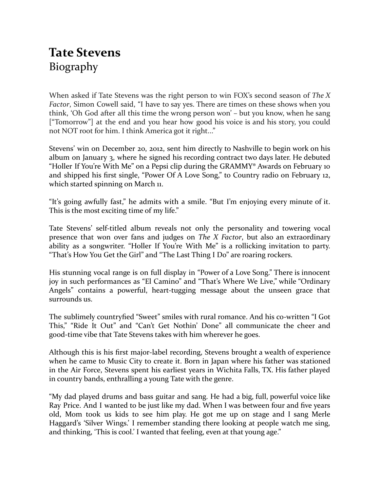## **Tate Stevens** Biography

When asked if Tate Stevens was the right person to win FOX's second season of *The X Factor*, Simon Cowell said, "I have to say yes. There are times on these shows when you think, 'Oh God after all this time the wrong person won' – but you know, when he sang ["Tomorrow"] at the end and you hear how good his voice is and his story, you could not NOT root for him. I think America got it right..."

Stevens' win on December 20, 2012, sent him directly to Nashville to begin work on his album on January 3, where he signed his recording contract two days later. He debuted "Holler If You're With Me" on a Pepsi clip during the GRAMMY® Awards on February 10 and shipped his first single, "Power Of A Love Song," to Country radio on February 12, which started spinning on March 11.

"It's going awfully fast," he admits with a smile. "But I'm enjoying every minute of it. This is the most exciting time of my life."

Tate Stevens' self-titled album reveals not only the personality and towering vocal presence that won over fans and judges on *The X Factor*, but also an extraordinary ability as a songwriter. "Holler If You're With Me" is a rollicking invitation to party. "That's How You Get the Girl" and "The Last Thing I Do" are roaring rockers.

His stunning vocal range is on full display in "Power of a Love Song." There is innocent joy in such performances as "El Camino" and "That's Where We Live," while "Ordinary Angels" contains a powerful, heart-tugging message about the unseen grace that surrounds us.

The sublimely countryfied "Sweet" smiles with rural romance. And his co-written "I Got This," "Ride It Out" and "Can't Get Nothin' Done" all communicate the cheer and good-time vibe that Tate Stevens takes with him wherever he goes.

Although this is his first major-label recording, Stevens brought a wealth of experience when he came to Music City to create it. Born in Japan where his father was stationed in the Air Force, Stevens spent his earliest years in Wichita Falls, TX. His father played in country bands, enthralling a young Tate with the genre.

"My dad played drums and bass guitar and sang. He had a big, full, powerful voice like Ray Price. And I wanted to be just like my dad. When I was between four and five years old, Mom took us kids to see him play. He got me up on stage and I sang Merle Haggard's 'Silver Wings.' I remember standing there looking at people watch me sing, and thinking, 'This is cool.' I wanted that feeling, even at that young age."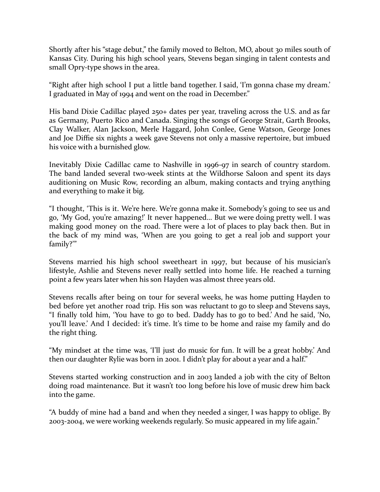Shortly after his "stage debut," the family moved to Belton, MO, about 30 miles south of Kansas City. During his high school years, Stevens began singing in talent contests and small Opry-type shows in the area.

"Right after high school I put a little band together. I said, 'I'm gonna chase my dream.' I graduated in May of 1994 and went on the road in December."

His band Dixie Cadillac played 250+ dates per year, traveling across the U.S. and as far as Germany, Puerto Rico and Canada. Singing the songs of George Strait, Garth Brooks, Clay Walker, Alan Jackson, Merle Haggard, John Conlee, Gene Watson, George Jones and Joe Diffie six nights a week gave Stevens not only a massive repertoire, but imbued his voice with a burnished glow.

Inevitably Dixie Cadillac came to Nashville in 1996-97 in search of country stardom. The band landed several two-week stints at the Wildhorse Saloon and spent its days auditioning on Music Row, recording an album, making contacts and trying anything and everything to make it big.

"I thought, 'This is it. We're here. We're gonna make it. Somebody's going to see us and go, 'My God, you're amazing!' It never happened… But we were doing pretty well. I was making good money on the road. There were a lot of places to play back then. But in the back of my mind was, 'When are you going to get a real job and support your family?'"

Stevens married his high school sweetheart in 1997, but because of his musician's lifestyle, Ashlie and Stevens never really settled into home life. He reached a turning point a few years later when his son Hayden was almost three years old.

Stevens recalls after being on tour for several weeks, he was home putting Hayden to bed before yet another road trip. His son was reluctant to go to sleep and Stevens says, "I finally told him, 'You have to go to bed. Daddy has to go to bed.' And he said, 'No, you'll leave.' And I decided: it's time. It's time to be home and raise my family and do the right thing.

"My mindset at the time was, 'I'll just do music for fun. It will be a great hobby.' And then our daughter Rylie was born in 2001. I didn't play for about a year and a half."

Stevens started working construction and in 2003 landed a job with the city of Belton doing road maintenance. But it wasn't too long before his love of music drew him back into the game.

"A buddy of mine had a band and when they needed a singer, I was happy to oblige. By 2003-2004, we were working weekends regularly. So music appeared in my life again."